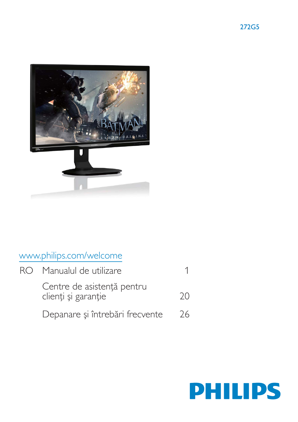



# www.philips.com/welcome

| R() | Manualul de utilizare                             |               |
|-----|---------------------------------------------------|---------------|
|     | Centre de asistență pentru<br>clienți și garanție | $\mathcal{U}$ |
|     | Depanare și întrebări frecvente                   | 26            |

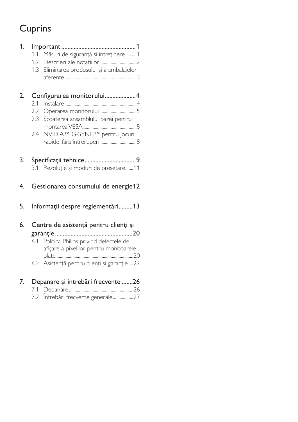# Cuprins

| 1. | Măsuri de siguranță și întreținere1<br>1.1<br>Eliminarea produsului și a ambalajelor<br>1.3                                                                                    |
|----|--------------------------------------------------------------------------------------------------------------------------------------------------------------------------------|
| 2. | Configurarea monitorului4                                                                                                                                                      |
|    | 2.1<br>Operarea monitorului5<br>$2.2\phantom{0}$<br>2.3<br>Scoaterea ansamblului bazei pentru<br>NVIDIA™ G-SYNC™ pentru jocuri<br>2.4                                          |
| 3. | 3.1 Rezoluție și moduri de presetare11                                                                                                                                         |
| 4. | Gestionarea consumului de energie12                                                                                                                                            |
| 5. | Informații despre reglementări13                                                                                                                                               |
| 6. | Centre de asistență pentru clienți și<br>Politica Philips privind defectele de<br>6.1<br>afișare a pixelilor pentru monitoarele<br>6.2 Asistență pentru clienți și garanție 22 |
| 7. | Depanare și întrebări frecvente 26<br>Întrebări frecvente generale27<br>7.2                                                                                                    |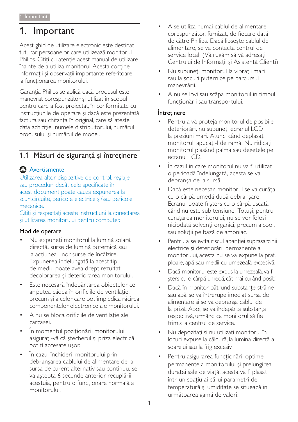#### 1. Important

Acest ghid de utilizare electronic este destinat tuturor persoanelor care utilizează monitorul Philips. Citiți cu atenție acest manual de utilizare, înainte de a utiliza monitorul. Acesta conține informații și observații importante referitoare la functionarea monitorului.

Garanția Philips se aplică dacă produsul este manevrat corespunzător și utilizat în scopul pentru care a fost proiectat, în conformitate cu instrucțiunile de operare și dacă este prezentată factura sau chitanța în original, care să ateste data achizitiei, numele distribuitorului, numărul produsului și numărul de model.

# 1.1 Măsuri de siguranță și întreținere

# Avertismente

Utilizarea altor dispozitive de control, reglaje sau proceduri decât cele specificate în acest document poate cauza expunerea la scurtcircuite, pericole electrice și/sau pericole mecanice.

Citiți și respectați aceste instrucțiuni la conectarea și utilizarea monitorului pentru computer.

### Mod de operare

- Nu expuneți monitorul la lumină solară directă, surse de lumină puternică sau la acțiunea unor surse de încălzire. Expunerea îndelungată la acest tip de mediu poate avea drept rezultat decolorarea și deteriorarea monitorului.
- Este necesară îndepărtarea obiectelor ce  $\bullet$ ar putea cădea în orificiile de ventilație, precum și a celor care pot împiedica răcirea componentelor electronice ale monitorului.
- A nu se bloca orificiile de ventilatie ale carcasei.
- În momentul poziționării monitorului, asigurați-vă că ștecherul și priza electrică pot fi accesate usor.
- În cazul închiderii monitorului prin debranșarea cablului de alimentare de la sursa de curent alternativ sau continuu, se va astepta 6 secunde anterior recuplării acestuia, pentru o funcționare normală a monitorului
- A se utiliza numai cablul de alimentare corespunzător, furnizat, de fiecare dată, de către Philips. Dacă lipsește cablul de alimentare, se va contacta centrul de service local. (Vă rugăm să vă adresați Centrului de Informații și Asistență Clienți)
- Nu supuneți monitorul la vibrații mari sau la socuri puternice pe parcursul manevrării.
- A nu se lovi sau scăpa monitorul în timpul funcționării sau transportului.

### Întretinere

- Pentru a vă proteja monitorul de posibile deteriorări, nu supuneți ecranul LCD la presiuni mari. Atunci când deplasați monitorul, apucați-l de ramă. Nu ridicați monitorul plasând palma sau degetele pe ecranul LCD.
- În cazul în care monitorul nu va fi utilizat o perioadă îndelungată, acesta se va debranșa de la sursă.
- Dacă este necesar, monitorul se va curăța cu o cârpă umedă după debranșare. Ecranul poate fi șters cu o cârpă uscată când nu este sub tensiune. Totuși, pentru curătarea monitorului, nu se vor folosi niciodată solvenți organici, precum alcool, sau soluții pe bază de amoniac.
- Pentru a se evita riscul apariției suprasarcinii electrice și deteriorării permanente a monitorului, acesta nu se va expune la praf. ploaie, apă sau medii cu umezeală excesivă.
- Dacă monitorul este expus la umezeală, va fi sters cu o cârpă umedă, cât mai curând posibil.
- Dacă în monitor pătrund substanțe străine sau apă, se va întrerupe imediat sursa de alimentare si se va debransa cablul de la priză. Apoi, se va îndepărta substanța respectivă, urmând ca monitorul să fie trimis la centrul de service.
- Nu depozitați și nu utilizați monitorul în locuri expuse la căldură, la lumina directă a soarelui sau la frig excesiv.
- Pentru asigurarea funcționării optime permanente a monitorului și prelungirea duratei sale de viață, acesta va fi plasat într-un spațiu ai cărui parametri de temperatură și umiditate se situează în următoarea gamă de valori: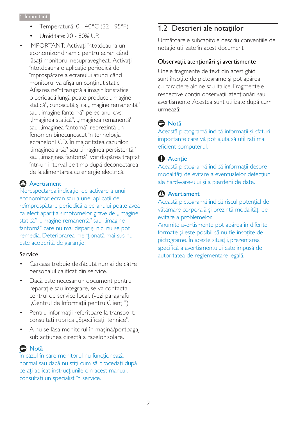- Temperatură: 0 40°C (32 95°F)  $\bullet$
- Umiditate: 20 80% UR
- IMPORTANT: Activați întotdeauna un economizor dinamic pentru ecran când lăsați monitorul nesupravegheat. Activați întotdeauna o aplicație periodică de împrospătare a ecranului atunci când monitorul va afișa un conținut static. Afisarea neîntreruptă a imaginilor statice o perioadă lungă poate produce "imagine statică", cunoscută și ca "imagine remanentă" sau "imagine fantomă" pe ecranul dvs. "Imaginea statică", "imaginea remanentă" sau "imaginea fantomă" reprezintă un fenomen binecunoscut în tehnologia ecranelor LCD. În majoritatea cazurilor, "imaginea arsă" sau "imaginea persistentă" sau "imaginea fantomă" vor dispărea treptat într-un interval de timp după deconectarea de la alimentarea cu energie electrică.

# <sup>1</sup> Avertisment

Nerespectarea indicației de activare a unui economizor ecran sau a unei aplicații de reîmprospătare periodică a ecranului poate avea ca efect apariția simptomelor grave de "imagine statică", "imagine remanentă" sau "imagine fantomă" care nu mai dispar și nici nu se pot remedia. Deteriorarea menționată mai sus nu este acoperită de garanție.

### Service

- Carcasa trebuie desfăcută numai de către personalul calificat din service.
- Dacă este necesar un document pentru reparație sau integrare, se va contacta centrul de service local. (vezi paragraful "Centrul de Informații pentru Clienți")
- Pentru informații referitoare la transport, consultați rubrica "Specificații tehnice".
- A nu se lăsa monitorul în mașină/portbagaj sub acțiunea directă a razelor solare.

# **O** Notă

În cazul în care monitorul nu funcționează normal sau dacă nu știți cum să procedați după ce ați aplicat instrucțiunile din acest manual, consultați un specialist în service.

# 1.2 Descrieri ale notațiilor

Următoarele subcapitole descriu convențiile de notatie utilizate în acest document.

### Observații, atenționări și avertismente

Unele fragmente de text din acest ghid sunt însoțite de pictograme și pot apărea cu caractere aldine sau italice. Fragmentele respective conțin observații, atenționări sau avertismente. Acestea sunt utilizate după cum urmează:

# **A** Notă

Această pictogramă indică informații și sfaturi importante care vă pot ajuta să utilizați mai eficient computerul.

# **Atenție**

Această pictogramă indică informații despre modalități de evitare a eventualelor defecțiuni ale hardware-ului și a pierderii de date.

# <sup>1</sup> Avertisment

Această pictogramă indică riscul potențial de vătămare corporală și prezintă modalități de evitare a problemelor.

Anumite avertismente pot apărea în diferite formate și este posibil să nu fie însoțite de pictograme. În aceste situații, prezentarea specifică a avertismentului este impusă de autoritatea de reglementare legală.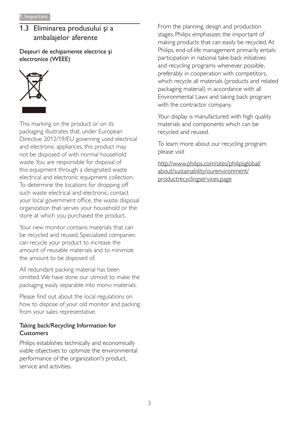# 1.3 Eliminarea produsului și a ambalajelor aferente

Deșeuri de echipamente electrice și electronice (WEEE)



This marking on the product or on its packaging illustrates that, under European Directive 2012/19/EU governing used electrical and electronic appliances, this product may not be disposed of with normal household waste. You are responsible for disposal of this equipment through a designated waste electrical and electronic equipment collection. To determine the locations for dropping off such waste electrical and electronic, contact your local government office, the waste disposal organization that serves your household or the store at which you purchased the product.

Your new monitor contains materials that can be recycled and reused. Specialized companies can recycle your product to increase the amount of reusable materials and to minimize the amount to be disposed of.

All redundant packing material has been omitted. We have done our utmost to make the packaging easily separable into mono materials.

Please find out about the local regulations on how to dispose of your old monitor and packing from your sales representative.

# Taking back/Recycling Information for **Customers**

Philips establishes technically and economically viable objectives to optimize the environmental performance of the organization's product, service and activities

From the planning, design and production stages, Philips emphasizes the important of making products that can easily be recycled. At Philips, end-of-life management primarily entails participation in national take-back initiatives and recycling programs whenever possible, preferably in cooperation with competitors, which recycle all materials (products and related packaging material) in accordance with all Environmental Laws and taking back program with the contractor company.

Your display is manufactured with high quality materials and components which can be recycled and reused.

To learn more about our recycling program please visit

http://www.philips.com/sites/philipsglobal/ about/sustainability/ourenvironment/ productrecyclingservices.page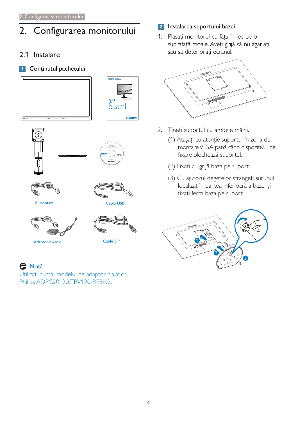# 2. Configurarea monitorului

# 2.1 Instalare

# 1 Continutul pachetului









Adaptor c.a./c.c.

Alimentare

Cablu USB





# A Notă

Utilizați numai modelul de adaptor c.a./c.c.: Philips ADPC20120, TPV120-REBN2.

# 2 Instalarea suportului bazei

1. Plasați monitorul cu fața în jos pe o suprafață moale. Aveți grijă să nu zgâriați sau să deteriorați ecranul.



- 2. Țineți suportul cu ambele mâini.
	- (1) Atașați cu atenție suportul în zona de montare VESA până când dispozitivul de fixare blochează suportul.
	- (2) Fixați cu grijă baza pe suport.
	- (3) Cu ajutorul degetelor, strângeți șurubul localizat în partea inferioară a bazei și fixați ferm baza pe suport.

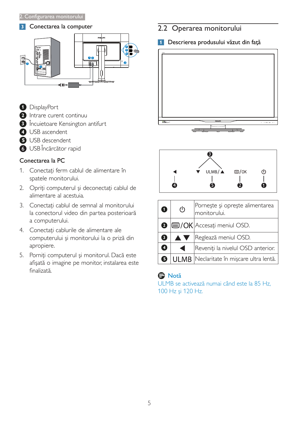#### 3 Conectarea la computer



- **D** DisplayPort
- 2 Intrare curent continuu
- **3** Încuietoare Kensington antifurt
- **4** USB ascendent
- **B** USB descendent
- 6 USB Încărcător rapid

## Conectarea la PC

- 1. Conectați ferm cablul de alimentare în spatele monitorului.
- 2. Opriți computerul și deconectați cablul de alimentare al acestuia.
- 3. Conectați cablul de semnal al monitorului la conectorul video din partea posterioară a computerului.
- 4. Conectați cablurile de alimentare ale computerului și monitorului la o priză din apropiere.
- 5. Porniți computerul și monitorul. Dacă este afișată o imagine pe monitor, instalarea este finalizată

# 2.2 Operarea monitorului

1 Descrierea produsului văzut din față





| $\bullet$ | $\mathcal{L}$ | Pornește și oprește alimentarea<br>monitorului. |
|-----------|---------------|-------------------------------------------------|
|           |               | <b><sup>■</sup>IE/OK</b>  Accesați meniul OSD.  |
| 8         | <b>AV</b>     | Reglează meniul OSD.                            |
| Ø         |               | Reveniți la nivelul OSD anterior.               |
|           |               | <b>ULMB</b> Neclaritate în mișcare ultra lentă. |

# **A** Notă

ULMB se activează numai când este la 85 Hz. 100 Hz și 120 Hz.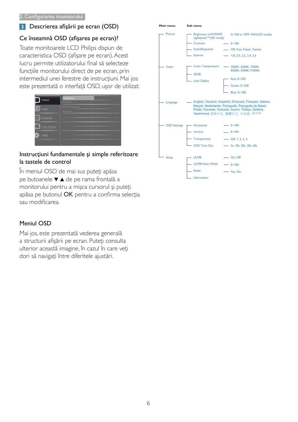# 2 Descrierea afișării pe ecran (OSD)

### Ce înseamnă OSD (afișarea pe ecran)?

Toate monitoarele LCD Philips dispun de caracteristica OSD (afișare pe ecran). Acest lucru permite utilizatorului final să selecteze funcțiile monitorului direct de pe ecran, prin intermediul unei ferestre de instrucțiuni. Mai jos este prezentată o interfață OSD, ușor de utilizat:

|                     | <b>Brightness</b> |           |
|---------------------|-------------------|-----------|
| Picture             | Contrast          | ٠         |
|                     | SmartResponse     | ٠         |
| Color               | Gamma             | $\bullet$ |
|                     |                   | $\bullet$ |
| Language            |                   | ۰         |
|                     |                   | ٠         |
| <b>OSD Settings</b> |                   | ٠         |
| Setup               |                   | ٠         |
|                     |                   | $\bullet$ |
|                     |                   |           |

### Instrucțiuni fundamentale și simple referitoare la tastele de control

În meniul OSD de mai sus puteți apăsa pe butoanele v ▲ de pe rama frontală a monitorului pentru a mișca cursorul și puteți apăsa pe butonul OK pentru a confirma selecția sau modificarea.

### Meniul OSD

Mai jos, este prezentată vederea generală a structurii afișării pe ecran. Puteți consulta ulterior această imagine, în cazul în care veți dori să navigați între diferitele ajustări.

| гтанг птепч         |                                              |                                                                                                                                                                                                                   |
|---------------------|----------------------------------------------|-------------------------------------------------------------------------------------------------------------------------------------------------------------------------------------------------------------------|
| Picture             | Brightness or NVDIA®<br>Lightboost™(3D mode) | 0~100 or OFF~MAX(3D mode)                                                                                                                                                                                         |
|                     | Contrast                                     | $- 0 - 100$                                                                                                                                                                                                       |
|                     | - SmartResponse                              | - Off, Fast, Faster, Fastest                                                                                                                                                                                      |
|                     | - Gamma                                      | $- 1.8, 2.0, 2.2, 2.4, 2.6$                                                                                                                                                                                       |
| Color               | <b>Color Temperature</b><br>- sRGB           | - 5000K, 6500K, 7500K,<br>8200K, 9300K, 11500K                                                                                                                                                                    |
|                     | <b>User Define</b>                           | Red: 0~100                                                                                                                                                                                                        |
|                     |                                              | Green: 0~100                                                                                                                                                                                                      |
|                     |                                              | Blue: 0~100                                                                                                                                                                                                       |
| Language            |                                              | <u>-</u> English, Deutsch, Español, Ελληνική, Français, Italiano,<br>Maryar, Nederlands, Português, Português do Brazil,<br>Polski, Русский, Svenska, Suomi, Türkçe, Čeština,<br>Українська, 简体中文, 繁體中文, 日本語, 한국어 |
| <b>OSD Settings</b> | - Horizontal                                 | $- 0 - 100$                                                                                                                                                                                                       |
|                     | Vertical                                     | $- 0 - 100$                                                                                                                                                                                                       |
|                     | Transparency                                 | $-$ Off, 1, 2, 3, 4                                                                                                                                                                                               |
|                     | <b>OSD Time Out</b>                          | - 5s, 10s, 20s, 30s, 60s                                                                                                                                                                                          |
| Setup               | - ULMB                                       | $-$ On, Off                                                                                                                                                                                                       |
|                     | <b>ULMB Pulse Width</b>                      | $- 0 - 100$                                                                                                                                                                                                       |
|                     | - Reset                                      | - Yes, No                                                                                                                                                                                                         |
|                     | - Information                                |                                                                                                                                                                                                                   |

 $M = 1$  and  $M = 1$ 

**Bulleting**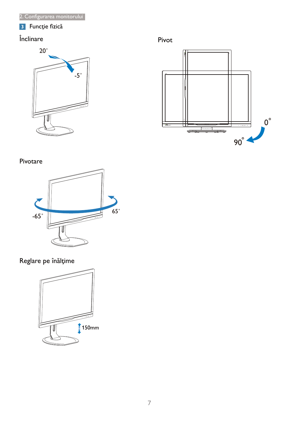# 3 Funcție fizică

# $\hat{\text{Inclinare}}$



# Pivot



# Pivotare



# Reglare pe înălțime

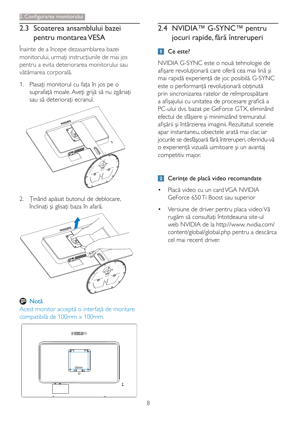# 2.3 Scoaterea ansamblului bazei pentru montarea VESA

Înainte de a începe dezasamblarea bazei monitorului, urmați instrucțiunile de mai jos pentru a evita deteriorarea monitorului sau vătămarea corporală.

1. Plasați monitorul cu fața în jos pe o suprafață moale. Aveți grijă să nu zgâriați sau să deteriorați ecranul.



2. Ținând apăsat butonul de deblocare, înclinați și glisați baza în afară.



# **A** Notă

Acest monitor acceptă o interfață de montare compatibilă de 100mm x 100mm.



# 2.4 NVIDIA™ G-SYNC™ pentru jocuri rapide, fără întreruperi

# 1 Ce este?

NVIDIA G-SYNC este o nouă tehnologie de afișare revoluționară care oferă cea mai lină și mai rapidă experiență de joc posibilă. G-SYNC este o performanță revoluționară obținută prin sincronizarea ratelor de reîmprospătare a afișajului cu unitatea de procesare grafică a PC-ului dvs. bazat pe GeForce GTX, eliminând efectul de sfâșiere și minimizând tremuratul afișării și întârzierea imaginii. Rezultatul: scenele apar instantaneu, obiectele arată mai clar, iar jocurile se desfășoară fără întreruperi, oferindu-vă o experiență vizuală uimitoare și un avantaj competitiv major.

# 2 Cerințe de placă video recomandate

- Placă video cu un card VGA NVIDIA GeForce 650 Ti Boost sau superior
- Versiune de driver pentru placa video: Vă rugăm să consultați întotdeauna site-ul web NVIDIA de la http://www.nvidia.com/ content/global/global.php pentru a descărca cel mai recent driver.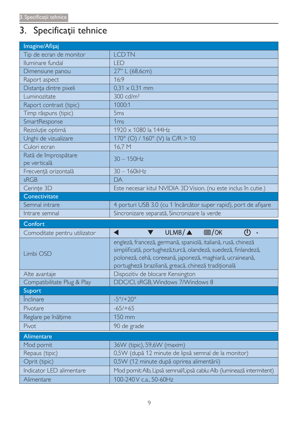# 3. Specificații tehnice

| Imagine/Afişaj                       |                                                                                                                                                                                                                                                      |  |  |
|--------------------------------------|------------------------------------------------------------------------------------------------------------------------------------------------------------------------------------------------------------------------------------------------------|--|--|
| Tip de ecran de monitor              | <b>LCDTN</b>                                                                                                                                                                                                                                         |  |  |
| Iluminare fundal                     | <b>LED</b>                                                                                                                                                                                                                                           |  |  |
| Dimensiune panou                     | 27" L (68,6cm)                                                                                                                                                                                                                                       |  |  |
| Raport aspect                        | 16:9                                                                                                                                                                                                                                                 |  |  |
| Distanța dintre pixeli               | $0,31 \times 0,31 \text{ mm}$                                                                                                                                                                                                                        |  |  |
| Luminozitate                         | $300 \text{ cd/m}^2$                                                                                                                                                                                                                                 |  |  |
| Raport contrast (tipic)              | 1000:1                                                                                                                                                                                                                                               |  |  |
| Timp răspuns (tipic)                 | 5 <sub>ms</sub>                                                                                                                                                                                                                                      |  |  |
| SmartResponse                        | 1 <sub>ms</sub>                                                                                                                                                                                                                                      |  |  |
| Rezoluție optimă                     | 1920 x 1080 la 144Hz                                                                                                                                                                                                                                 |  |  |
| Unghi de vizualizare                 | 170° (O) / 160° (V) la C/R > 10                                                                                                                                                                                                                      |  |  |
| Culori ecran                         | 16,7 M                                                                                                                                                                                                                                               |  |  |
| Rată de împrospătare<br>pe verticală | $30 - 150$ Hz                                                                                                                                                                                                                                        |  |  |
| Frecvență orizontală                 | $30 - 160$ kHz                                                                                                                                                                                                                                       |  |  |
| sRGB                                 | DA                                                                                                                                                                                                                                                   |  |  |
| Cerințe 3D                           | Este necesar kitul NVIDIA 3D Vision. (nu este inclus în cutie.)                                                                                                                                                                                      |  |  |
| Conectivitate                        |                                                                                                                                                                                                                                                      |  |  |
| Semnal intrare                       | 4 porturi USB 3.0 (cu 1 încărcător super rapid), port de afișare                                                                                                                                                                                     |  |  |
| Intrare semnal                       | Sincronizare separată, Sincronizare la verde                                                                                                                                                                                                         |  |  |
| Confort                              |                                                                                                                                                                                                                                                      |  |  |
| Comoditate pentru utilizator         | $ULMB/\triangle$ $\Box$ /OK<br>(I)<br>V<br>$\circ$                                                                                                                                                                                                   |  |  |
| Limbi OSD                            | engleză, franceză, germană, spaniolă, italiană, rusă, chineză<br>simplificată, portugheză, turcă, olandeză, suedeză, finlandeză,<br>poloneză, cehă, coreeană, japoneză, maghiară, ucraineană,<br>portugheză braziliană, greacă, chineză tradițională |  |  |
| Alte avantaje                        | Dispozitiv de blocare Kensington                                                                                                                                                                                                                     |  |  |
| Compatibilitate Plug & Play          | DDC/CI, sRGB, Windows 7/Windows 8                                                                                                                                                                                                                    |  |  |
| <b>Suport</b>                        |                                                                                                                                                                                                                                                      |  |  |
| Înclinare                            | $-5^{\circ}/+20^{\circ}$                                                                                                                                                                                                                             |  |  |
| Pivotare                             | $-65/+65$                                                                                                                                                                                                                                            |  |  |
| Reglare pe înălțime                  | 150 mm                                                                                                                                                                                                                                               |  |  |
| Pivot                                | 90 de grade                                                                                                                                                                                                                                          |  |  |
| Alimentare                           |                                                                                                                                                                                                                                                      |  |  |
| Mod pornit                           | 36W (tipic), 59,6W (maxim)                                                                                                                                                                                                                           |  |  |
| Repaus (tipic)                       | 0,5W (după 12 minute de lipsă semnal de la monitor)                                                                                                                                                                                                  |  |  |
| Oprit (tipic)                        | 0,5W (12 minute după oprirea alimentării)                                                                                                                                                                                                            |  |  |
| Indicator LED alimentare             | Mod pornit: Alb, Lipsă semnal/Lipsă cablu: Alb (luminează intermitent)                                                                                                                                                                               |  |  |
| Alimentare                           | 100-240 V c.a., 50-60Hz                                                                                                                                                                                                                              |  |  |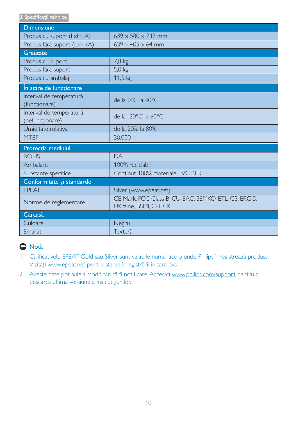3. Specificații tehnice

| <b>Dimensiune</b>                          |                                                                              |
|--------------------------------------------|------------------------------------------------------------------------------|
| Produs cu suport (LxHxA)                   | $639 \times 580 \times 242$ mm                                               |
| Produs fără suport (LxHxA)                 | $639 \times 405 \times 64$ mm                                                |
| <b>Greutate</b>                            |                                                                              |
| Produs cu suport                           | $7,8$ kg                                                                     |
| Produs fără suport                         | $5,0$ kg                                                                     |
| Produs cu ambalaj                          | 11,3 kg                                                                      |
| În stare de funcționare                    |                                                                              |
| Interval de temperatură<br>(funcționare)   | de la 0°C la 40°C                                                            |
| Interval de temperatură<br>(nefuncționare) | de la -20°C la 60°C                                                          |
| Umiditate relativă                         | de la 20% la 80%                                                             |
| <b>MTBF</b>                                | 30,000 h                                                                     |
| Protecția mediului                         |                                                                              |
| <b>ROHS</b>                                | DA                                                                           |
| Ambalare                                   | 100% reciclabil                                                              |
| Substanțe specifice                        | Conținut 100% materiale PVC BFR                                              |
| Conformitate și standarde                  |                                                                              |
| <b>EPEAT</b>                               | Silver (www.epeat.net)                                                       |
| Norme de reglementare                      | CE Mark, FCC Class B, CU-EAC, SEMKO, ETL, GS, ERGO,<br>UKraine, BSMI, C-TICK |
| Carcasă                                    |                                                                              |
| Culoare                                    | Negru                                                                        |
| Emailat                                    | Textură                                                                      |

# e Notă

- 1. Calificativele EPEAT Gold sau Silver sunt valabile numai acolo unde Philips înregistrează produsul. Vizitați www.epeat.net pentru starea înregistrării în țara dvs.
- 2. Aceste date pot suferi modificări fără notificare. Accesați www.philips.com/support pentru a descărca ultima versiune a instrucțiunilor.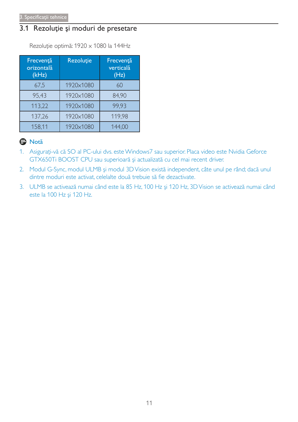# 3.1 Rezoluție și moduri de presetare

Rezoluție optimă: 1920 x 1080 la 144Hz

| Frecvență<br>orizontală<br>(kHz) | <b>Rezoluție</b> | Frecvență<br>verticală<br>(Hz) |
|----------------------------------|------------------|--------------------------------|
| 67,5                             | 1920×1080        | 60                             |
| 95,43                            | 1920×1080        | 84,90                          |
| 113,22                           | 1920×1080        | 99,93                          |
| 137,26                           | 1920×1080        | 119,98                         |
| 158,11                           | 1920×1080        | 144,00                         |

# e Notă

- 1. Asigurați-vă că SO al PC-ului dvs. este Windows7 sau superior. Placa video este Nvidia Geforce GTX650Ti BOOST CPU sau superioară și actualizată cu cel mai recent driver.
- 2. Modul G-Sync, modul ULMB și modul 3D Vision există independent, câte unul pe rând; dacă unul dintre moduri este activat, celelalte două trebuie să fie dezactivate.
- 3. ULMB se activează numai când este la 85 Hz, 100 Hz și 120 Hz, 3D Vision se activează numai când este la 100 Hz și 120 Hz.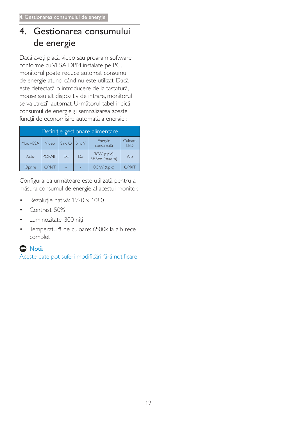# $\overline{4}$ . Gestionarea consumului de energie

Dacă aveți placă video sau program software conforme cu VESA DPM instalate pe PC, monitorul poate reduce automat consumul de energie atunci când nu este utilizat. Dacă este detectată o introducere de la tastatură. mouse sau alt dispozitiv de intrare, monitorul se va "trezi" automat. Următorul tabel indică consumul de energie și semnalizarea acestei funcții de economisire automată a energiei:

| Definiție gestionare alimentare |               |                                                                       |    |                               |       |
|---------------------------------|---------------|-----------------------------------------------------------------------|----|-------------------------------|-------|
| Mod VESA                        | Video         | Culoare<br>Energie<br>$Sinc$ $O$<br>Sinc V<br>consumată<br><b>KED</b> |    |                               |       |
| Activ                           | <b>PORNIT</b> | Da                                                                    | Da | 36W (tipic),<br>59,6W (maxim) | Alb   |
| Oprire                          | OPRIT         |                                                                       |    | $0.5 W$ (tipic)               | OPRIT |

Configurarea următoare este utilizată pentru a măsura consumul de energie al acestui monitor.

- Rezoluție nativă: 1920 x 1080  $\bullet$
- Contrast: 50%
- Luminozitate: 300 niti
- Temperatură de culoare: 6500k la alb rece  $\bullet$ complet

# **O** Notă

Aceste date pot suferi modificări fără notificare.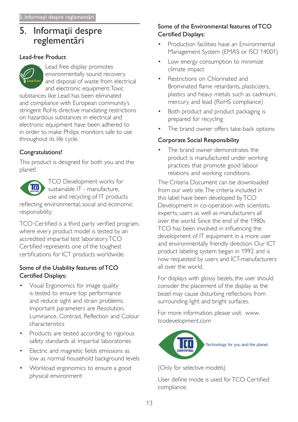# 5. Informații despre reglementări

## **Lead-free Product**



throughout its life cycle.

# Congratulations!

This product is designed for both you and the planet!



TCO Development works for sustainable IT - manufacture, use and recycling of IT products

reflecting environmental, social and economic responsibility.

TCO Certified is a third party verified program, where every product model is tested by an accredited impartial test laboratory.TCO Certified represents one of the toughest certifications for ICT products worldwide.

### Some of the Usability features of TCO **Certified Displays:**

- Visual Ergonomics for image quality is tested to ensure top performance and reduce sight and strain problems. Important parameters are Resolution, Luminance, Contrast, Reflection and Colour characteristics
- Products are tested according to rigorous safety standards at impartial laboratories
- Electric and magnetic fields emissions as low as normal household background levels
- Workload ergonomics to ensure a good physical environment

# Some of the Environmental features of TCO **Certified Displays:**

- Production facilities have an Environmental Management System (EMAS or ISO 14001)
- Low energy consumption to minimize climate impact
- Restrictions on Chlorinated and Brominated flame retardants, plasticizers, plastics and heavy metals such as cadmium, mercury and lead (RoHS compliance)
- Both product and product packaging is prepared for recycling
- The brand owner offers take-back options

# **Corporate Social Responsibility**

The brand owner demonstrates the product is manufactured under working practices that promote good labour relations and working conditions.

The Criteria Document can be downloaded from our web site The criteria included in this label have been developed by TCO Development in co-operation with scientists, experts, users as well as manufacturers all over the world. Since the end of the 1980s TCO has been involved in influencing the development of IT equipment in a more user and environmentally friendly direction. Our ICT product labeling system began in 1992 and is now requested by users and ICT-manufacturers all over the world

For displays with glossy bezels, the user should consider the placement of the display as the bezel may cause disturbing reflections from surrounding light and bright surfaces.

For more information, please visit: www. tcodevelopment.com



(Only for selective models)

User define mode is used for TCO Certified compliance.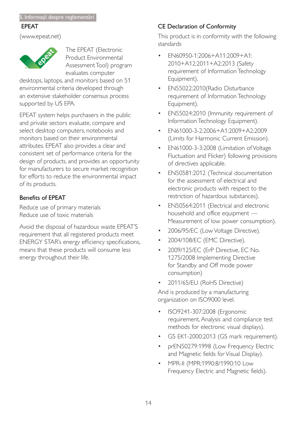### **EPEAT**

(www.epeat.net)



The EPEAT (Electronic Product Environmental Assessment Tool) program evaluates computer

desktops, laptops, and monitors based on 51 environmental criteria developed through an extensive stakeholder consensus process supported by US EPA.

EPEAT system helps purchasers in the public and private sectors evaluate, compare and select desktop computers, notebooks and monitors based on their environmental attributes. EPEAT also provides a clear and consistent set of performance criteria for the design of products, and provides an opportunity for manufacturers to secure market recognition for efforts to reduce the environmental impact of its products.

# **Benefits of EPEAT**

Reduce use of primary materials Reduce use of toxic materials

Avoid the disposal of hazardous waste EPEAT'S requirement that all registered products meet ENERGY STAR's energy efficiency specifications, means that these products will consume less energy throughout their life.

# **CE Declaration of Conformity**

This product is in conformity with the following standards

- EN60950-1:2006+A11:2009+A1: 2010+A12:2011+A2:2013 (Safety requirement of Information Technology Equipment).
- EN55022:2010(Radio Disturbance  $\bullet$ requirement of Information Technology Equipment).
- EN55024:2010 (Immunity requirement of Information Technology Equipment).
- EN61000-3-2:2006+A1:2009+A2:2009 (Limits for Harmonic Current Emission).
- EN61000-3-3:2008 (Limitation of Voltage Fluctuation and Flicker) following provisions of directives applicable.
- EN50581:2012 (Technical documentation for the assessment of electrical and electronic products with respect to the restriction of hazardous substances).
- EN50564:2011 (Electrical and electronic household and office equipment -Measurement of low power consumption).
- 2006/95/EC (Low Voltage Directive).
- 2004/108/EC (EMC Directive).  $\bullet$
- 2009/125/EC (ErP Directive, EC No. 1275/2008 Implementing Directive for Standby and Off mode power consumption)
- 2011/65/EU (RoHS Directive)

And is produced by a manufacturing organization on ISO9000 level.

- ISO9241-307:2008 (Ergonomic requirement, Analysis and compliance test methods for electronic visual displays).
- GS EK1-2000:2013 (GS mark requirement).
- prEN50279:1998 (Low Frequency Electric and Magnetic fields for Visual Display).
- MPR-II (MPR:1990:8/1990:10 Low Frequency Electric and Magnetic fields).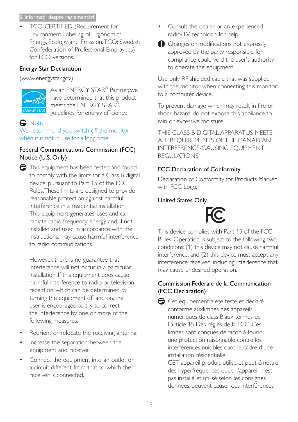### 5. Informații despre reglementări

TCO CERTIFIED (Requirement for Environment Labeling of Ergonomics, Energy, Ecology and Emission, TCO: Swedish Confederation of Professional Employees) for TCO versions.

## **Energy Star Declaration**

(www.energystar.gov)



As an ENERGY STAR® Partner, we have determined that this product meets the ENERGY STAR® guidelines for energy efficiency.

# **e** Note

We recommend you switch off the monitor when it is not in use for a long time.

# Federal Communications Commission (FCC) Notice (U.S. Only)



However, there is no guarantee that interference will not occur in a particular installation. If this equipment does cause harmful interference to radio or television reception, which can be determined by turning the equipment off and on, the user is encouraged to try to correct the interference by one or more of the following measures:

- Reorient or relocate the receiving antenna.  $\bullet$
- Increase the separation between the  $\bullet$ equipment and receiver.
- Connect the equipment into an outlet on  $\bullet$ a circuit different from that to which the receiver is connected.
- Consult the dealer or an experienced radio/TV technician for help.
- Changes or modifications not expressly approved by the party responsible for compliance could void the user's authority to operate the equipment.

Use only RF shielded cable that was supplied with the monitor when connecting this monitor to a computer device.

To prevent damage which may result in fire or shock hazard, do not expose this appliance to rain or excessive moisture.

THIS CLASS B DIGITAL APPARATUS MEETS ALL REQUIREMENTS OF THE CANADIAN **INTERFERENCE-CAUSING EQUIPMENT** REGULATIONS.

# **FCC Declaration of Conformity**

Declaration of Conformity for Products Marked with FCC Logo,

# **United States Only**



This device complies with Part 15 of the FCC Rules. Operation is subject to the following two conditions: (1) this device may not cause harmful interference, and (2) this device must accept any interference received, including interference that may cause undesired operation.

# Commission Federale de la Communication (FCC Declaration)

Cet équipement a été testé et déclaré conforme auxlimites des appareils numériques de class B, aux termes de l'article 15 Des règles de la FCC. Ces limites sont conçues de façon à fourir une protection raisonnable contre les interférences nuisibles dans le cadre d'une installation résidentielle.

CET appareil produit, utilise et peut émettre des hyperfréquences qui, si l'appareil n'est pas installé et utilisé selon les consignes données, peuvent causer des interférences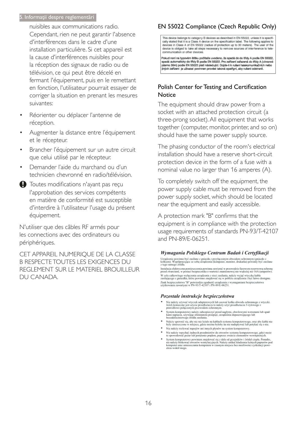#### 5. Informații despre reglementări

nuisibles aux communications radio. Cependant, rien ne peut garantir l'absence d'interférences dans le cadre d'une installation particulière. Si cet appareil est la cause d'interférences nuisibles pour la réception des signaux de radio ou de télévision, ce qui peut être décelé en fermant l'équipement, puis en le remettant en fonction, l'utilisateur pourrait essayer de corriger la situation en prenant les mesures suivantes:

- Réorienter ou déplacer l'antenne de réception.
- Augmenter la distance entre l'équipement et le récepteur.
- Brancher l'équipement sur un autre circuit que celui utilisé par le récepteur.
- Demander l'aide du marchand ou d'un technicien chevronné en radio/télévision.
- Toutes modifications n'ayant pas reçu l'approbation des services compétents en matière de conformité est susceptible d'interdire à l'utilisateur l'usage du présent équipement.

N'utiliser que des câbles RF armés pour les connections avec des ordinateurs ou périphériques.

CET APPAREIL NUMERIOUE DE LA CLASSE **B RESPECTE TOUTES LES EXIGENCES DU** REGLEMENT SUR LE MATERIEL BROUILLEUR DU CANADA.

# EN 55022 Compliance (Czech Republic Only)

This device belongs to category B devices as described in EN 55022, unless it is specifically stated that it is a Class A device on the specification label. The following applies to devices in Class A of EN 55022 (radius of protection up to 30 meters). The user of the device is obliged to take all steps necessary to remove sources of interference to telecommunication or other devices

Pokud není na typovém štítku počítače uvedeno, že spadá do do třídy A podle EN 55022, spadá automaticky do třídy B podle EN 55022. Pro zařízení zařazená do třídy A (chranné násmo 30m) podle EN 55022 platí následulící. Dolde-li k rušení telekomunikačních nebo jiných zařízení je uživatel povinnen provést taková opatřgní, aby rušení odstranil.

### Polish Center for Testing and Certification Notice

The equipment should draw power from a socket with an attached protection circuit (a three-prong socket). All equipment that works together (computer, monitor, printer, and so on) should have the same power supply source.

The phasing conductor of the room's electrical installation should have a reserve short-circuit protection device in the form of a fuse with a nominal value no larger than 16 amperes (A).

To completely switch off the equipment, the power supply cable must be removed from the power supply socket, which should be located near the equipment and easily accessible.

A protection mark "B" confirms that the equipment is in compliance with the protection usage requirements of standards PN-93/T-42107 and PN-89/F-06251.

#### Wymagania Polskiego Centrum Badań i Certyfikacji

Urządzenie powinno być zasiłane z gniazda z przyłączonym obwodem ochronnym (gniazdo z<br>kołkiem). Współpracujące ze sobą urządzenia (komputer, monitor, drukarka) powinny być zasiłane<br>z tego samego źródła.

Instalacja elektryczna pomieszczenia powinna zawierać w przewodzie fazowym rezerwową ochronę<br>przed zwarciami, w postaci bezpiecznika o wartości znamionowej nie większej niż 16A (amperów). .<br>W celu całkowitego wyłączenia urządzenia z sieci zasilania, należy wyjąć wtyczkę kabla<br>zasilającego z gniazdka, które powinno znajdować się w pobliżu urządzenia i być łatwo dostępne. Znak bezpieczeństwa "B" potwierdza zgodność urządzenia z wymaganiami bezpieczeństwa użytkowania zawartymi w PN-93/T-42107 i PN-89/E-06251.

#### Pozostałe instrukcje bezpieczeństwa

- Nie należy używać wtyczek adapterowych lub usuwać kołka obwodu ochronnego z wtyczki.<br>Jeżeli konieczne jest użycie przedłużacza to należy użyć przedłużacza 3-żyłowego z<br>prawidłowo połączonym przewodem ochronnym.
- $\,$ System komputerowy należy zabezpieczyć przed nagłymi, chwilowymi wzrokami napięcia, używając eliminatora przepięć, urządzenia dopasowującego lubezzakł<br><br/>óceniowego źródła zasilania. tami lub spadvymi wzrost<br>ującego lub
- Należy upewnić się, aby nie nie leżało na kabłach systemu komputerowego, oraz aby kabłe nie były umieszczone w miejscu, gdzie można byłoby na nie nadeptywać lub potykać się o nie.
- Nie należy rozlewać napojów ani innych płynów na system komputerowy.
- 
- Nie należy wpychać zadnych mu umycu prynow na zystem Komputerowy.<br>Nie należy wpychać żadnych przedmiotów do stworów systemu komputerowego, gdyż może to spowodować pożar lub porażenie prądem, poprzez zwarcie elementów wewn rów pod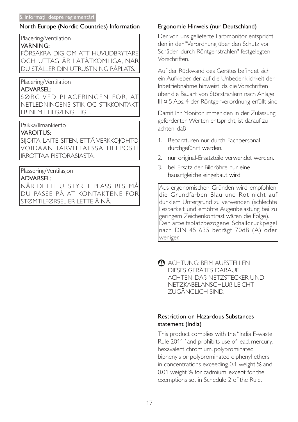### North Europe (Nordic Countries) Information

Placering/Ventilation

#### **VARNING:**

FÖRSÄKRA DIG OM ATT HUVUDBRYTARE OCH UTTAG ÄR LÄTÅTKOMLIGA. NÄR DU STÄLLER DIN UTRUSTNING PÅPLATS.

### Placering/Ventilation

### **ADVARSEL:**

SØRG VED PLACERINGEN FOR. AT NETLEDNINGENS STIK OG STIKKONTAKT **ER NEMTTILGÆNGELIGE.** 

Paikka/Ilmankierto

### **VAROITUS:**

SIJOITA LAITE SITEN, ETTÄ VERKKOJOHTO VOIDAAN TARVITTAESSA HELPOSTI **IRROTTAA PISTORASIASTA.** 

### Plassering/Ventilasjon

### **ADVARSEL:**

NÅR DETTE UTSTYRET PLASSERES, MÅ DU PASSE PÅ AT KONTAKTENE FOR |STØMTILFØRSEL ER LETTE Å NÅ.

### Ergonomie Hinweis (nur Deutschland)

Der von uns gelieferte Farbmonitor entspricht den in der "Verordnung über den Schutz vor Schäden durch Röntgenstrahlen" festgelegten Vorschriften

Auf der Rückwand des Gerätes befindet sich ein Aufkleber, der auf die Unbedenklichkeit der Inbetriebnahme hinweist, da die Vorschriften über die Bauart von Störstrahlern nach Anlage III ¤ 5 Abs. 4 der Röntgenverordnung erfüllt sind.

Damit Ihr Monitor immer den in der Zulassung geforderten Werten entspricht, ist darauf zu achten, daß

- 1. Reparaturen nur durch Fachpersonal durchgeführt werden.
- 2. nur original-Ersatzteile verwendet werden.
- 3. bei Ersatz der Bildröhre nur eine bauartgleiche eingebaut wird.

Aus ergonomischen Gründen wird empfohlen, die Grundfarben Blau und Rot nicht auf dunklem Untergrund zu verwenden (schlechte Lesbarkeit und erhöhte Augenbelastung bei zu geringem Zeichenkontrast wären die Folge). Der arbeitsplatzbezogene Schalldruckpegel nach DIN 45 635 beträgt 70dB (A) oder weniger.

ACHTUNG: BEIM AUFSTELLEN DIESES GERÄTES DARAUF ACHTEN. DAB NETZSTECKER UND NETZKABELANSCHLUB LEICHT ZUGÄNGLICH SIND.

### **Restriction on Hazardous Substances** statement (India)

This product complies with the "India E-waste" Rule 2011" and prohibits use of lead, mercury, hexavalent chromium, polybrominated biphenyls or polybrominated diphenyl ethers in concentrations exceeding 0.1 weight % and 0.01 weight % for cadmium, except for the exemptions set in Schedule 2 of the Rule.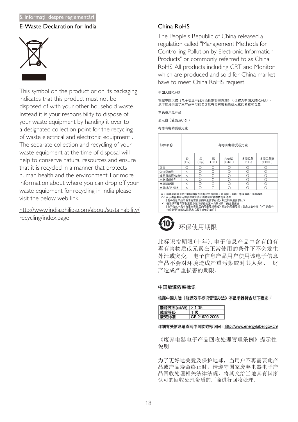#### 5. Informații despre reglementări

#### E-Waste Declaration for India



This symbol on the product or on its packaging indicates that this product must not be disposed of with your other household waste. Instead it is your responsibility to dispose of your waste equipment by handing it over to a designated collection point for the recycling of waste electrical and electronic equipment. The separate collection and recycling of your waste equipment at the time of disposal will help to conserve natural resources and ensure that it is recycled in a manner that protects human health and the environment. For more information about where you can drop off your waste equipment for recycling in India please visit the below web link.

### http://www.india.philips.com/about/sustainability/ recycling/index.page.

### China RoHS

The People's Republic of China released a regulation called "Management Methods for Controlling Pollution by Electronic Information Products" or commonly referred to as China RoHS. All products including CRT and Monitor which are produced and sold for China market have to meet China RoHS request.

#### 中国大陆RoHS

根据中国大陆《电子信息产品污染控制管理办法》(也称为中国大陆RoHS), 以下部分列出了本产品中可能包含的有毒有害物质或元素的名称和含量

本表适用之产品

显示器(液晶及CRT)

有毒有害物质或元素

| 部件名称                                                                                                                                                                                                                 |           |           |           | 有毒有害物质或元素       |               |                 |
|----------------------------------------------------------------------------------------------------------------------------------------------------------------------------------------------------------------------|-----------|-----------|-----------|-----------------|---------------|-----------------|
|                                                                                                                                                                                                                      | 铅<br>(Pb) | 汞<br>(Hg) | 镉<br>(Cd) | 六价铬<br>$(Cr6+)$ | 多溴联苯<br>(PBB) | 多溴二苯醚<br>(PBDE) |
| 外壳                                                                                                                                                                                                                   | ∩         | ∩         | Ω         | Ω               | Ω             | Ω               |
| CRT显示屏                                                                                                                                                                                                               | ×         | O         | O         | Ο               | Ω             | Ο               |
| 液晶显示屏/灯管                                                                                                                                                                                                             | ×         | O         | O         | O               | Ω             | О               |
| 电路板组件*                                                                                                                                                                                                               | ×         | O         | O         | O               | O             | Ο               |
| 电源适配器                                                                                                                                                                                                                | ×         | O         | O         | O               | O             | O               |
| 电源线/连接线                                                                                                                                                                                                              | $\times$  | ∩         | ∩         | O               | ∩             | O               |
| *: 电路板组件包括印刷电路板及其构成的零部件,如电阻、电容、集成电路、连接器等<br>○:表示该有毒有害物质在该部件所有均质材料中的含量均在<br>《电子信息产品中有毒有害物质的限量要求标准》规定的限量要求以下<br>×:表示该有毒有害物质至少在该部件的某一均质材料中的含量超出<br>《电子信息产品中有毒有害物质的限量要求标准》规定的限量要求;但是上表中打"×"的部件,<br>符合欧盟RoHS法规要求(属于豁免的部分) |           |           |           |                 |               |                 |

# 环保使用期限

此标识指期限(十年), 电子信息产品中含有的有 毒有害物质或元素在正常使用的条件下不会发生 外泄或突变, 电子信息产品用户使用该电子信息 产品不会对环境造成严重污染或对其人身、 财 产造成严重损害的期限.

#### 中国能源效率标识

根据中国大陆《能源效率标识管理办法》本显示器符合以下要求:

| 能源效率(cd/W)   > 1.05 |               |
|---------------------|---------------|
| 能双寺级                |               |
| 能效标准                | GB 21520-2008 |

#### 详细有关信息请查阅中国能效标识网: http://www.energylabel.gov.cn/

《废弃电器电子产品回收处理管理条例》提示性 说明

为了更好地关爱及保护地球, 当用户不再需要此产 品或产品寿命终止时,请遵守国家废弃电器电子产 品回收处理相关法律法规, 将其交给当地具有国家 认可的回收处理资质的厂商进行回收处理。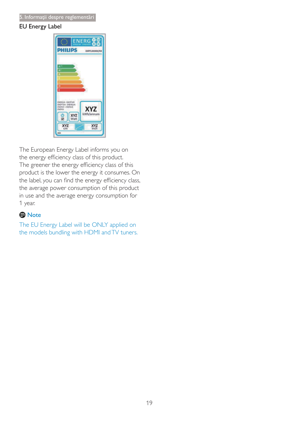## **EU Energy Label**



The European Energy Label informs you on the energy efficiency class of this product. The greener the energy efficiency class of this product is the lower the energy it consumes. On the label, you can find the energy efficiency class, the average power consumption of this product in use and the average energy consumption for 1 year.

# **O** Note

The EU Energy Label will be ONLY applied on the models bundling with HDMI and TV tuners.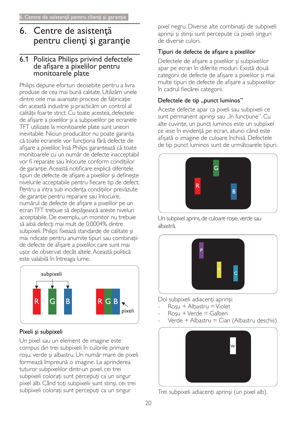# 6. Centre de asistență pentru clienți și garanție

# 6.1 Politica Philips privind defectele de afisare a pixelilor pentru monitoarele plate

Philips depune eforturi deosebite pentru a livra produse de cea mai bună calitate. Utilizăm unele dintre cele mai avansate procese de fabricație din această industrie și practicăm un control al calitătii foarte strict. Cu toate acestea, defectele de afișare a pixelilor și a subpixelilor pe ecranele TFT utilizate la monitoarele plate sunt uneori inevitabile. Niciun producător nu poate garanta că toate ecranele vor functiona fără defecte de afișare a pixelilor, însă Philips garantează că toate monitoarele cu un număr de defecte inacceptabil vor fi reparate sau înlocuite conform condițiilor de garantie. Această notificare explică diferitele tipuri de defecte de afisare a pixelilor și definește nivelurile acceptabile pentru fiecare tip de defect. Pentru a intra sub incidenta conditiilor prevăzute de garantie pentru reparare sau înlocuire. numărul de defecte de afișare a pixelilor pe un ecran TFT trebuie să depășească aceste niveluri acceptabile. De exemplu, un monitor nu trebuje să aibă defecți mai mult de 0,0004% dintre subpixeli. Philips fixează standarde de calitate și mai ridicate pentru anumite tipuri sau combinații de defecte de afișare a pixelilor, care sunt mai usor de observat decât altele. Această politică este valabilă în întreaga lume.



# Pixeli și subpixeli

Un pixel sau un element de imagine este compus din trei subpixeli în culorile primare roșu, verde și albastru. Un număr mare de pixeli formează împreună o imagine. La aprinderea tuturor subpixelilor dintr-un pixel, cei trei subpixeli colorați sunt percepuți ca un singur pixel alb. Când toți subpixelii sunt stinși, cei trei subpixeli colorați sunt percepuți ca un singur

pixel negru. Diverse alte combinații de subpixeli aprinși și stinși sunt percepute ca pixeli singuri de diverse culori.

# Tipuri de defecte de afișare a pixelilor

Defectele de afișare a pixelilor și subpixelilor apar pe ecran în diferite moduri. Există două categorii de defecte de afișare a pixelilor și mai multe tipuri de defecte de afisare a subpixelilor în cadrul fiecărei categorii.

# Defectele de tip "punct luminos"

Aceste defecte apar ca pixeli sau subpixeli ce sunt permanent aprinși sau "în funcțiune". Cu alte cuvinte, un punct luminos este un subpixel ce iese în evidență pe ecran, atunci când este afișată o imagine de culoare închisă. Defectele de tip punct luminos sunt de următoarele tipuri.



Un subpixel aprins, de culoare roșie, verde sau albastră.



Doi subpixeli adiacenți aprinși:

- $Rosu + Albastru = Violet$
- $Rosu + Verde = Galben$
- Verde + Albastru = Cian (Albastru deschis)



Trei subpixeli adiacenți aprinși (un pixel alb).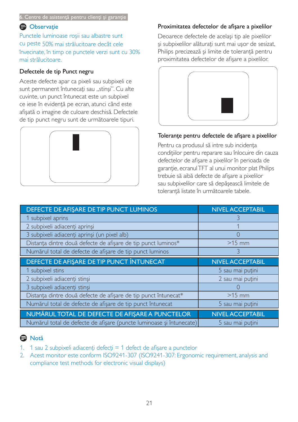#### 6. Centre de asistență pentru clienți și garanție

# **Observatie**

Punctele luminoase roșii sau albastre sunt cu peste 50% mai strălucitoare decât cele învecinate, în timp ce punctele verzi sunt cu 30% mai strălucitoare.

### Defectele de tip Punct negru

Aceste defecte apar ca pixeli sau subpixeli ce sunt permanent întunecați sau "stinși". Cu alte cuvinte, un punct întunecat este un subpixel ce iese în evidență pe ecran, atunci când este afișată o imagine de culoare deschisă. Defectele de tip punct negru sunt de următoarele tipuri.



## Proximitatea defectelor de afișare a pixelilor

Deoarece defectele de acelasi tip ale pixelilor și subpixelilor alăturați sunt mai ușor de sesizat, Philips precizează și limite de toleranță pentru proximitatea defectelor de afisare a pixelilor.



### Tolerante pentru defectele de afișare a pixelilor

Pentru ca produsul să intre sub incidenta conditiilor pentru reparare sau înlocuire din cauza defectelor de afișare a pixelilor în perioada de garanție, ecranul TFT al unui monitor plat Philips trebuie să aibă defecte de afișare a pixelilor sau subpixelilor care să depăsească limitele de tolerantă listate în următoarele tabele.

| DEFECTE DE AFIŞARE DE TIP PUNCT LUMINOS                         | <b>NIVEL ACCEPTABIL</b> |
|-----------------------------------------------------------------|-------------------------|
| 1 subpixel aprins                                               |                         |
| 2 subpixeli adiacenți aprinși                                   |                         |
| 3 subpixeli adiacenți aprinși (un pixel alb)                    |                         |
| Distanța dintre două defecte de afișare de tip punct luminos*   | $>15$ mm                |
| Numărul total de defecte de afișare de tip punct luminos        | 3                       |
| DEFECTE DE AFISARE DE TIP PUNCT ÎNTUNECAT                       | <b>NIVEL ACCEPTABIL</b> |
| 1 subpixel stins                                                | 5 sau mai puțini        |
| 2 subpixeli adiacenți stinși                                    | 2 sau mai puțini        |
| 3 subpixeli adiacenți stinși                                    |                         |
| Distanța dintre două defecte de afișare de tip punct întunecat* | $>15$ mm                |
| Numărul total de defecte de afișare de tip punct întunecat      | 5 sau mai puțini        |
|                                                                 |                         |
| NUMĂRUL TOTAL DE DEFECTE DE AFIȘARE A PUNCTELOR                 | <b>NIVEL ACCEPTABIL</b> |

# A Notă

- 1. 1 sau 2 subpixeli adiacenți defecți = 1 defect de afișare a punctelor
- 2. Acest monitor este conform ISO9241-307 (ISO9241-307: Ergonomic requirement, analysis and compliance test methods for electronic visual displays)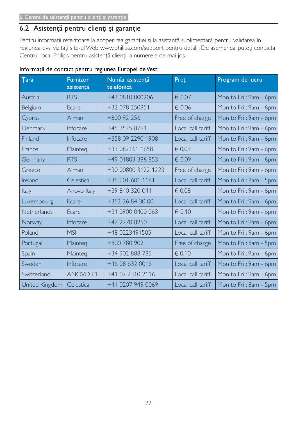# 6.2 Asistență pentru clienți și garanție

Pentru informații referitoare la acoperirea garanției și la asistanță suplimentară pentru validarea în regiunea dvs, vizitați site-ul Web www.philips.com/support pentru detalii. De asemenea, puteți contacta Centrul local Philips pentru asistență clienți la numerele de mai jos.

| <b>Tara</b>    | <b>Furnizor</b><br>asistență | Număr asistență<br>telefonică | Pret              | Program de lucru      |
|----------------|------------------------------|-------------------------------|-------------------|-----------------------|
| Austria        | <b>RTS</b>                   | +43 0810 000206               | € 0,07            | Mon to Fri: 9am - 6pm |
| Belgium        | Ecare                        | +32 078 250851                | € 0,06            | Mon to Fri: 9am - 6pm |
| Cyprus         | Alman                        | $+800$ 92 256                 | Free of charge    | Mon to Fri: 9am - 6pm |
| Denmark        | Infocare                     | +45 3525 8761                 | Local call tariff | Mon to Fri: 9am - 6pm |
| Finland        | Infocare                     | +358 09 2290 1908             | Local call tariff | Mon to Fri: 9am - 6pm |
| France         | Mainteg                      | +33 082161 1658               | € 0,09            | Mon to Fri: 9am - 6pm |
| Germany        | <b>RTS</b>                   | +49 01803 386 853             | € 0,09            | Mon to Fri: 9am - 6pm |
| Greece         | Alman                        | +30 00800 3122 1223           | Free of charge    | Mon to Fri: 9am - 6pm |
| Ireland        | Celestica                    | +353 01 601 1161              | Local call tariff | Mon to Fri: 8am - 5pm |
| Italy          | Anovo Italy                  | +39 840 320 041               | $\in 0.08$        | Mon to Fri: 9am - 6pm |
| Luxembourg     | Ecare                        | +352 26 84 30 00              | Local call tariff | Mon to Fri: 9am - 6pm |
| Netherlands    | Ecare                        | +31 0900 0400 063             | € 0.10            | Mon to Fri: 9am - 6pm |
| Norway         | Infocare                     | +47 2270 8250                 | Local call tariff | Mon to Fri: 9am - 6pm |
| Poland         | <b>MSI</b>                   | +48 0223491505                | Local call tariff | Mon to Fri: 9am - 6pm |
| Portugal       | Mainteg                      | +800 780 902                  | Free of charge    | Mon to Fri: 8am - 5pm |
| Spain          | Mainteg                      | +34 902 888 785               | € 0,10            | Mon to Fri: 9am - 6pm |
| Sweden         | Infocare                     | +46 08 632 0016               | Local call tariff | Mon to Fri: 9am - 6pm |
| Switzerland    | <b>ANOVO CH</b>              | +41 02 2310 2116              | Local call tariff | Mon to Fri: 9am - 6pm |
| United Kingdom | Celestica                    | +44 0207 949 0069             | Local call tariff | Mon to Fri: 8am - 5pm |

# Informații de contact pentru regiunea Europei de Vest: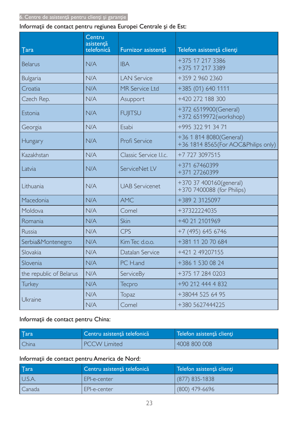# Informații de contact pentru regiunea Europei Centrale și de Est:

| <b>Tara</b>             | Centru<br>asistență<br>telefonică | Furnizor asistență     | Telefon asistență clienți                                       |
|-------------------------|-----------------------------------|------------------------|-----------------------------------------------------------------|
| <b>Belarus</b>          | N/A                               | <b>IBA</b>             | +375 17 217 3386<br>+375 17 217 3389                            |
| <b>Bulgaria</b>         | N/A                               | <b>LAN Service</b>     | +359 2 960 2360                                                 |
| Croatia                 | N/A                               | MR Service Ltd         | +385 (01) 640 1111                                              |
| Czech Rep.              | N/A                               | Asupport               | +420 272 188 300                                                |
| Estonia                 | N/A                               | <b>FUJITSU</b>         | +372 6519900(General)<br>+372 6519972(workshop)                 |
| Georgia                 | N/A                               | Esabi                  | +995 322 91 34 71                                               |
| Hungary                 | N/A                               | Profi Service          | +36 1 814 8080(General)<br>+36 1814 8565 (For AOC&Philips only) |
| Kazakhstan              | N/A                               | Classic Service I.I.c. | +7 727 3097515                                                  |
| Latvia                  | N/A                               | ServiceNet LV          | +371 67460399<br>+371 27260399                                  |
| Lithuania               | N/A                               | <b>UAB Servicenet</b>  | +370 37 400160(general)<br>+370 7400088 (for Philips)           |
| Macedonia               | N/A                               | <b>AMC</b>             | +389 2 3125097                                                  |
| Moldova                 | N/A                               | Comel                  | +37322224035                                                    |
| Romania                 | N/A                               | Skin                   | +40 21 2101969                                                  |
| Russia                  | N/A                               | CPS                    | +7 (495) 645 6746                                               |
| Serbia&Montenegro       | N/A                               | Kim Tec d.o.o.         | +381 11 20 70 684                                               |
| Slovakia                | N/A                               | Datalan Service        | +421 2 49207155                                                 |
| Slovenia                | N/A                               | PC H.and               | +386 1 530 08 24                                                |
| the republic of Belarus | N/A                               | ServiceBy              | +375 17 284 0203                                                |
| <b>Turkey</b>           | N/A                               | <b>Tecpro</b>          | +90 212 444 4 832                                               |
|                         | N/A                               | Topaz                  | +38044 525 64 95                                                |
| Ukraine                 | N/A                               | Comel                  | +380 5627444225                                                 |

# Informații de contact pentru China:

| $\sqrt{a}$ | Centru asistență telefonică | Telefon asistență clienți |
|------------|-----------------------------|---------------------------|
| China      | <b>PCCW Limited</b>         | 4008 800 008              |

# Informații de contact pentru America de Nord:

| $\sqrt{a}$ | Centru asistență telefonică | Telefon asistență clienți |
|------------|-----------------------------|---------------------------|
| U.S.A.     | EPI-e-center                | (877) 835-1838            |
| Canada     | EPI-e-center                | $(800)$ 479-6696          |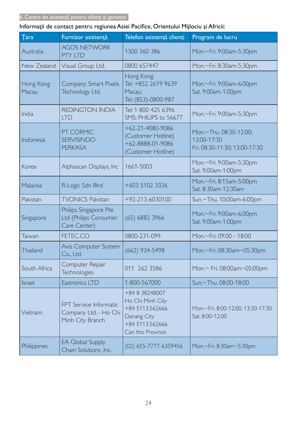# Informații de contact pentru regiunea Asiei Pacifice, Orientului Mijlociu și Africii:

| <b>Tara</b>        | Furnizor asistență                                                         | Telefon asistență clienți                                                                                   | Program de lucru                                                       |
|--------------------|----------------------------------------------------------------------------|-------------------------------------------------------------------------------------------------------------|------------------------------------------------------------------------|
| Australia          | <b>AGOS NETWORK</b><br><b>PTY LTD</b>                                      | 1300 360 386                                                                                                | Mon.~Fri. 9:00am-5:30pm                                                |
| New Zealand        | Visual Group Ltd.                                                          | 0800 657447                                                                                                 | Mon.~Fri. 8:30am-5:30pm                                                |
| Hong Kong<br>Macau | Company: Smart Pixels<br>Technology Ltd.                                   | Hong Kong:<br>Tel: +852 2619 9639<br>Macau:<br>Tel: (853)-0800-987                                          | Mon.~Fri. 9:00am-6:00pm<br>Sat. 9:00am-1:00pm                          |
| India              | <b>REDINGTON INDIA</b><br><b>LTD</b>                                       | Tel: 1 800 425 6396<br>SMS: PHILIPS to 56677                                                                | Mon.~Fri. 9:00am-5:30pm                                                |
| Indonesia          | PT. CORMIC<br><b>SERVISINDO</b><br><b>PERKASA</b>                          | $+62 - 21 - 4080 - 9086$<br>(Customer Hotline)<br>+62-8888-01-9086<br>(Customer Hotline)                    | Mon.~Thu. 08:30-12:00;<br>13:00-17:30<br>Fri. 08:30-11:30; 13:00-17:30 |
| Korea              | Alphascan Displays, Inc                                                    | 1661-5003                                                                                                   | Mon.~Fri. 9:00am-5:30pm<br>Sat. 9:00am-1:00pm                          |
| Malaysia           | R-Logic Sdn Bhd                                                            | +603 5102 3336                                                                                              | Mon.~Fri. 8:15am-5:00pm<br>Sat. 8:30am-12:30am                         |
| Pakistan           | <b>TVONICS Pakistan</b>                                                    | +92-213-6030100                                                                                             | Sun.~Thu. 10:00am-6:00pm                                               |
| Singapore          | Philips Singapore Pte<br>Ltd (Philips Consumer<br>Care Center)             | $(65)$ 6882 3966                                                                                            | Mon.~Fri. 9:00am-6:00pm<br>Sat. 9:00am-1:00pm                          |
| Taiwan             | FETEC.CO                                                                   | 0800-231-099                                                                                                | Mon.~Fri. 09:00 - 18:00                                                |
| Thailand           | Axis Computer System<br>Co., Ltd.                                          | $(662)$ 934-5498                                                                                            | Mon.~Fri. 08:30am~05:30pm                                              |
| South Africa       | Computer Repair<br><b>Technologies</b>                                     | 011 262 3586                                                                                                | Mon.~ Fri. 08:00am~05:00pm                                             |
| Israel             | Eastronics LTD                                                             | 1-800-567000                                                                                                | Sun.~Thu. 08:00-18:00                                                  |
| Vietnam            | <b>FPT</b> Service Informatic<br>Company Ltd. - Ho Chi<br>Minh City Branch | +84 8 38248007<br>Ho Chi Minh City<br>+84 5113.562666<br>Danang City<br>+84 5113.562666<br>Can tho Province | Mon.~Fri. 8:00-12:00, 13:30-17:30<br>Sat. 8:00-12:00                   |
| <b>Philippines</b> | <b>EA Global Supply</b><br>Chain Solutions , Inc.                          | (02) 655-7777; 6359456                                                                                      | Mon.~Fri. 8:30am~5:30pm                                                |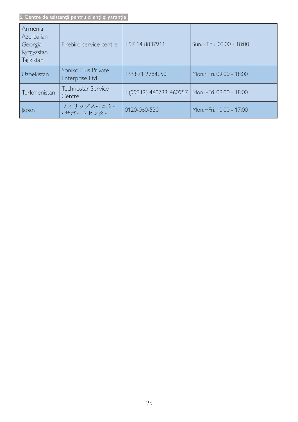6. Centre de asistență pentru clienți și garanție

| Armenia<br>Azerbaijan<br>Georgia<br>Kyrgyzstan<br>Tajikistan | Firebird service centre               | +97 14 8837911                                      | Sun,~Thu, 09:00 - 18:00 |
|--------------------------------------------------------------|---------------------------------------|-----------------------------------------------------|-------------------------|
| Uzbekistan                                                   | Soniko Plus Private<br>Enterprise Ltd | +99871 2784650                                      | Mon.~Fri. 09:00 - 18:00 |
| Turkmenistan                                                 | Technostar Service<br>Centre          | $+(99312)$ 460733, 460957   Mon.~Fri. 09:00 - 18:00 |                         |
| Japan                                                        | フィリップスモニター<br>・サポートセンター               | 0120-060-530                                        | Mon.~Fri. 10:00 - 17:00 |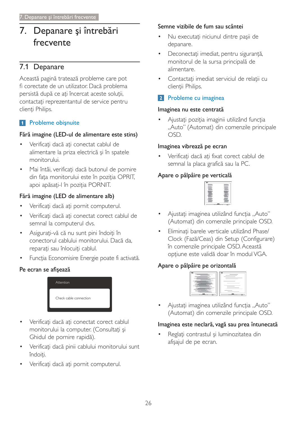## Depanare și întrebări  $7<sub>1</sub>$ frecvente

# 7.1 Depanare

Această pagină tratează probleme care pot fi corectate de un utilizator. Dacă problema persistă după ce ați încercat aceste soluții, contactați reprezentantul de service pentru clienți Philips.

# 1 Probleme obișnuite

# Fără imagine (LED-ul de alimentare este stins)

- Verificati dacă ati conectat cablul de alimentare la priza electrică și în spatele monitorului.
- Mai întâi, verificați dacă butonul de pornire  $\bullet$ din fața monitorului este în poziția OPRIT, apoi apăsați-l în poziția PORNIT.

# Fără imagine (LED de alimentare alb)

- Verificați dacă ați pornit computerul.
- Verificați dacă ați conectat corect cablul de semnal la computerul dvs.
- Asigurați-vă că nu sunt pini îndoiți în conectorul cablului monitorului. Dacă da, reparați sau înlocuiți cablul.
- Funcția Economisire Energie poate fi activată.

# Pe ecran se afișează



- Verificati dacă ati conectat corect cablul  $\bullet$ monitorului la computer. (Consultați și Ghidul de pornire rapidă).
- Verificați dacă pinii cablului monitorului sunt îndoiti.
- Verificați dacă ați pornit computerul.

### Semne vizibile de fum sau scântei

- Nu executați niciunul dintre pașii de depanare.
- Deconectați imediat, pentru siguranță, monitorul de la sursa principală de alimentare.
- Contactați imediat serviciul de relații cu clienții Philips.

# 2 Probleme cu imaginea

### Imaginea nu este centrată

Ajustați poziția imaginii utilizând funcția "Auto" (Automat) din comenzile principale OSD.

### Imaginea vibrează pe ecran

Verificati dacă ati fixat corect cablul de semnal la placa grafică sau la PC.

# Apare o pâlpâire pe verticală



- Ajustați imaginea utilizând funcția "Auto" (Automat) din comenzile principale OSD.
- Eliminați barele verticale utilizând Phase/ Clock (Fază/Ceas) din Setup (Configurare) în comenzile principale OSD. Această opțiune este validă doar în modul VGA.

# Apare o pâlpâire pe orizontală



Ajustați imaginea utilizând funcția "Auto" (Automat) din comenzile principale OSD.

# Imaginea este neclară, vagă sau prea întunecată

Reglați contrastul și luminozitatea din afișajul de pe ecran.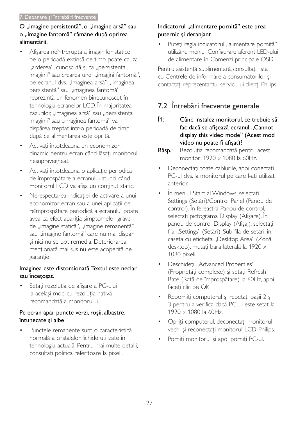# O "imagine persistentă", o "imagine arsă" sau o "imagine fantomă" rămâne după oprirea alimentării.

- Afișarea neîntreruptă a imaginilor statice pe o perioadă extinsă de timp poate cauza "arderea", cunoscută și ca "persistența imaginii" sau crearea unei "imagini fantomă", pe ecranul dvs. "Imaginea arsă", "imaginea persistentă" sau "imaginea fantomă" reprezintă un fenomen binecunoscut în tehnologia ecranelor LCD. În majoritatea cazurilor, "imaginea arsă" sau "persistența imaginii" sau "imaginea fantomă" va dispărea treptat într-o perioadă de timp după ce alimentarea este oprită.
- Activati întotdeauna un economizor  $\bullet$ dinamic pentru ecran când lăsați monitorul nesupravegheat.
- Activați întotdeauna o aplicație periodică de împrospătare a ecranului atunci când monitorul LCD va afișa un conținut static.
- Nerespectarea indicației de activare a unui economizor ecran sau a unei aplicații de reîmprospătare periodică a ecranului poate avea ca efect apariția simptomelor grave de "imagine statică", "imagine remanentă" sau "imagine fantomă" care nu mai dispar și nici nu se pot remedia. Deteriorarea menționată mai sus nu este acoperită de garanție.

# Imaginea este distorsionată. Textul este neclar sau încețoșat.

Setați rezoluția de afișare a PC-ului la același mod cu rezoluția nativă recomandată a monitorului.

# Pe ecran apar puncte verzi, roșii, albastre, întunecate și albe

Punctele remanente sunt o caracteristică normală a cristalelor lichide utilizate în tehnologia actuală. Pentru mai multe detalii, consultați politica referitoare la pixeli.

# Indicatorul "alimentare pornită" este prea puternic și deranjant

Puteți regla indicatorul "alimentare pornită" utilizând meniul Configurare aferent LED-ului de alimentare în Comenzi principale OSD.

Pentru asistență suplimentară, consultați lista cu Centrele de informare a consumatorilor și contactați reprezentantul serviciului clienți Philips.

# 7.2 Întrebări frecvente generale

- $\hat{1}$ Când instalez monitorul, ce trebuie să fac daçă se afisează ecranul "Cannot display this video mode" (Acest mod video nu poate fi afișat)?
- Răsp.: Rezoluția recomandată pentru acest monitor: 1920 x 1080 la 60Hz
- Deconectați toate cablurile, apoi conectați PC-ul dvs. la monitorul pe care l-ați utilizat anterior.
- În meniul Start al Windows, selectați Settings (Setări)/Control Panel (Panou de control). În fereastra Panou de control, selectați pictograma Display (Afișare). În panou de control Display (Afișaj), selectați fila "Settings" (Setări). Sub fila de setări, în caseta cu eticheta "Desktop Area" (Zonă desktop), mutați bara laterală la 1920 x 1080 pixeli.
- Deschideți "Advanced Properties" (Proprietăți complexe) și setați Refresh Rate (Rată de împrospătare) la 60Hz, apoi faceti clic pe OK.
- Reporniți computerul și repetați pașii 2 și 3 pentru a verifica dacă PC-ul este setat la 1920 × 1080 la 60Hz.
- Opriți computerul, deconectați monitorul vechi și reconectați monitorul LCD Philips.
- Porniți monitorul și apoi porniți PC-ul.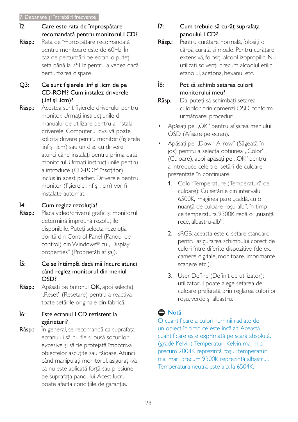#### 7. Depanare și întrebări frecvente

- $\hat{1}2$ : Care este rata de împrospătare recomandată pentru monitorul LCD?
- Răsp.: Rata de împrospătare recomandată pentru monitoare este de 60Hz, În caz de perturbări pe ecran, o puteți seta până la 75Hz pentru a vedea dacă perturbarea dispare.
- $Q3:$ Ce sunt fisierele .inf și .icm de pe CD-ROM? Cum instalez driverele  $(in f \sin i cm)$ ?
- Acestea sunt fisierele driverului pentru Răsp.: monitor. Urmati instructiunile din manualul de utilizare pentru a instala driverele. Computerul dvs. vă poate solicita drivere pentru monitor (fisierele inf si .jcm) sau un disc cu drivere atunci când instalați pentru prima dată monitorul. Urmati instructiunile pentru a introduce (CD-ROM însotitor) inclus în acest pachet. Driverele pentru monitor (fișierele .inf și .icm) vor fi instalate automat.

#### $\hat{1}4$ : Cum reglez rezoluția?

- Placa video/driverul grafic și monitorul Răsp.: determină împreună rezoluțiile disponibile. Puteti selecta rezolutia dorită din Control Panel (Panoul de control) din Windows® cu "Display properties" (Proprietăți afișaj).
- $\hat{1}5:$ Ce se întâmplă dacă mă încurc atunci când reglez monitorul din meniul OSD?
- Răsp.: Apăsați pe butonul OK, apoi selectați "Reset" (Resetare) pentru a reactiva toate setările originale din fabrică.

#### $\hat{1}6:$ Este ecranul LCD rezistent la zgârieturi?

În general, se recomandă ca suprafața Răsp.: ecranului să nu fie supusă socurilor excesive și să fie protejată împotriva obiectelor ascuțite sau tăioase. Atunci când manipulați monitorul, asigurați-vă că nu este aplicată forță sau presiune pe suprafata panoului. Acest lucru poate afecta condițiile de garanție.

#### $\hat{I}$ 7. Cum trebuie să curăț suprafața panoului LCD?

Răsp.: Pentru curătare normală, folositi o cârpă curată și moale. Pentru curățare extensivă, folosiți alcool izopropilic. Nu utilizati solventi precum alcoolul etilic. etanolul, acetona, hexanul etc.

#### Î8· Pot să schimb setarea culorii monitorului meu?

- Da, puteți să schimbați setarea Răsp.: culorilor prin comenzi OSD conform următoarei proceduri.
- Apăsați pe "OK" pentru afișarea meniului OSD (Afişare pe ecran).
- Apăsați pe "Down Arrow" (Săgeată în ios) pentru a selecta optiunea "Color" (Culoare), apoi apăsați pe "OK" pentru a introduce cele trei setări de culoare prezentate în continuare.
	- 1. Color Temperature (Temperatură de culoare): Cu setările din intervalul 6500K, imaginea pare "caldă, cu o nuantă de culoare rosu-alb", în timp ce temperatura 9300K redă o "nuanță rece, albastru-alb".
	- 2. sRGB: aceasta este o setare standard pentru asigurarea schimbului corect de culori între diferite dispozitive (de ex. camere digitale, monitoare, imprimante, scanere etc.).
	- 3. User Define (Definit de utilizator): utilizatorul poate alege setarea de culoare preferată prin reglarea culorilor roșu, verde și albastru.

# **O** Notă

O cuantificare a culorii luminii radiate de un obiect în timp ce este încălzit. Această cuantificare este exprimată pe scară absolută, (grade Kelvin). Temperaturi Kelvin mai mici precum 2004K reprezintă roșul; temperaturi mai mari precum 9300K reprezintă albastrul. Temperatura neutră este alb, la 6504K.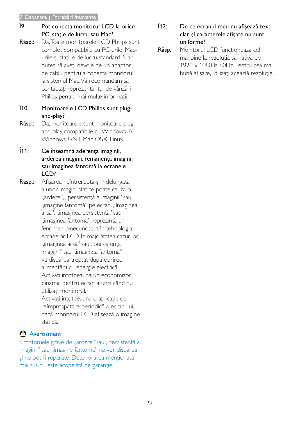- ĵ9. Pot conecta monitorul LCD la orice PC, stație de lucru sau Mac?
- Răsp.: Da. Toate monitoarele LCD Philips sunt complet compatibile cu PC-urile, Macurile și stațiile de lucru standard. S-ar putea să aveți nevoie de un adaptor de cablu pentru a conecta monitorul la sistemul Mac Vă recomandăm să contactați reprezentantul de vânzări Philips pentru mai multe informații.
- $\hat{1}10$ : Monitoarele LCD Philips sunt plugand-play?
- Da, monitoarele sunt monitoare plug-Răsp.: and-play, compatibile cu Windows 7/ Windows 8/NT, Mac OSX, Linux,
- $\hat{1}11$ : Ce înseamnă aderența imaginii, arderea imaginii, remanenta imaginii sau imaginea fantomă la ecranele LCD?
- Afișarea neîntreruptă și îndelungată Răsp.: a unor imagini statice poate cauza o "ardere", "persistență a imaginii" sau "imagine fantomă" pe ecran. "Imaginea arsă", "imaginea persistentă" sau "imaginea fantomă" reprezintă un fenomen binecunoscut în tehnologia ecranelor LCD. În majoritatea cazurilor, "imaginea arsă" sau "persistenta imaginii" sau "imaginea fantomă" va dispărea treptat după oprirea alimentării cu energie electrică. Activati întotdeauna un economizor dinamic pentru ecran atunci când nu utilizati monitorul. Activați întotdeauna o aplicație de
	- reîmprospătare periodică a ecranului, dacă monitorul LCD afișează o imagine statică

# Avertisment

Simptomele grave de "ardere" sau "persistență a imaginii" sau "imagine fantomă" nu vor dispărea și nu pot fi reparate. Deteriorarea menționată mai sus nu este acoperită de garanție.

- $\hat{1}12$ De ce ecranul meu nu afisează text clar și caracterele afișate nu sunt uniforme?
- Răsp.: Monitorul LCD funcționează cel mai bine la rezolutia sa nativă de  $1920 \times 1080$  la 60Hz. Pentru cea mai bună afisare, utilizați această rezoluție.